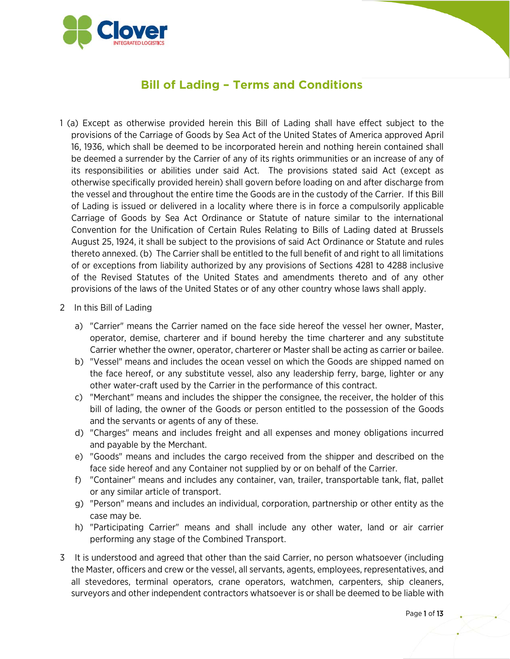

## **Bill of Lading – Terms and Conditions**

- 1 (a) Except as otherwise provided herein this Bill of Lading shall have effect subject to the provisions of the Carriage of Goods by Sea Act of the United States of America approved April 16, 1936, which shall be deemed to be incorporated herein and nothing herein contained shall be deemed a surrender by the Carrier of any of its rights orimmunities or an increase of any of its responsibilities or abilities under said Act. The provisions stated said Act (except as otherwise specifically provided herein) shall govern before loading on and after discharge from the vessel and throughout the entire time the Goods are in the custody of the Carrier. If this Bill of Lading is issued or delivered in a locality where there is in force a compulsorily applicable Carriage of Goods by Sea Act Ordinance or Statute of nature similar to the international Convention for the Unification of Certain Rules Relating to Bills of Lading dated at Brussels August 25, 1924, it shall be subject to the provisions of said Act Ordinance or Statute and rules thereto annexed. (b) The Carrier shall be entitled to the full benefit of and right to all limitations of or exceptions from liability authorized by any provisions of Sections 4281 to 4288 inclusive of the Revised Statutes of the United States and amendments thereto and of any other provisions of the laws of the United States or of any other country whose laws shall apply.
- 2 In this Bill of Lading
	- a) "Carrier" means the Carrier named on the face side hereof the vessel her owner, Master, operator, demise, charterer and if bound hereby the time charterer and any substitute Carrier whether the owner, operator, charterer or Master shall be acting as carrier or bailee.
	- b) "Vessel" means and includes the ocean vessel on which the Goods are shipped named on the face hereof, or any substitute vessel, also any leadership ferry, barge, lighter or any other water-craft used by the Carrier in the performance of this contract.
	- c) "Merchant" means and includes the shipper the consignee, the receiver, the holder of this bill of lading, the owner of the Goods or person entitled to the possession of the Goods and the servants or agents of any of these.
	- d) "Charges" means and includes freight and all expenses and money obligations incurred and payable by the Merchant.
	- e) "Goods" means and includes the cargo received from the shipper and described on the face side hereof and any Container not supplied by or on behalf of the Carrier.
	- f) "Container" means and includes any container, van, trailer, transportable tank, flat, pallet or any similar article of transport.
	- g) "Person" means and includes an individual, corporation, partnership or other entity as the case may be.
	- h) "Participating Carrier" means and shall include any other water, land or air carrier performing any stage of the Combined Transport.
- 3 It is understood and agreed that other than the said Carrier, no person whatsoever (including the Master, officers and crew or the vessel, all servants, agents, employees, representatives, and all stevedores, terminal operators, crane operators, watchmen, carpenters, ship cleaners, surveyors and other independent contractors whatsoever is or shall be deemed to be liable with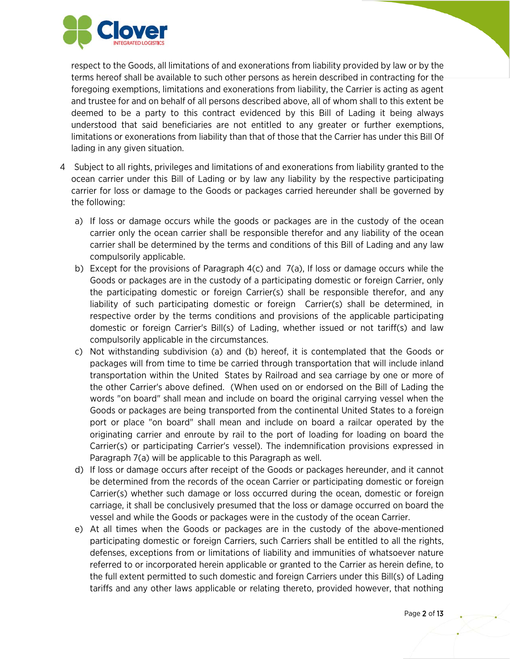

respect to the Goods, all limitations of and exonerations from liability provided by law or by the terms hereof shall be available to such other persons as herein described in contracting for the foregoing exemptions, limitations and exonerations from liability, the Carrier is acting as agent and trustee for and on behalf of all persons described above, all of whom shall to this extent be deemed to be a party to this contract evidenced by this Bill of Lading it being always understood that said beneficiaries are not entitled to any greater or further exemptions, limitations or exonerations from liability than that of those that the Carrier has under this Bill Of lading in any given situation.

- 4 Subject to all rights, privileges and limitations of and exonerations from liability granted to the ocean carrier under this Bill of Lading or by law any liability by the respective participating carrier for loss or damage to the Goods or packages carried hereunder shall be governed by the following:
	- a) If loss or damage occurs while the goods or packages are in the custody of the ocean carrier only the ocean carrier shall be responsible therefor and any liability of the ocean carrier shall be determined by the terms and conditions of this Bill of Lading and any law compulsorily applicable.
	- b) Except for the provisions of Paragraph 4(c) and 7(a), If loss or damage occurs while the Goods or packages are in the custody of a participating domestic or foreign Carrier, only the participating domestic or foreign Carrier(s) shall be responsible therefor, and any liability of such participating domestic or foreign Carrier(s) shall be determined, in respective order by the terms conditions and provisions of the applicable participating domestic or foreign Carrier's Bill(s) of Lading, whether issued or not tariff(s) and law compulsorily applicable in the circumstances.
	- c) Not withstanding subdivision (a) and (b) hereof, it is contemplated that the Goods or packages will from time to time be carried through transportation that will include inland transportation within the United States by Railroad and sea carriage by one or more of the other Carrier's above defined. (When used on or endorsed on the Bill of Lading the words "on board" shall mean and include on board the original carrying vessel when the Goods or packages are being transported from the continental United States to a foreign port or place "on board" shall mean and include on board a railcar operated by the originating carrier and enroute by rail to the port of loading for loading on board the Carrier(s) or participating Carrier's vessel). The indemnification provisions expressed in Paragraph 7(a) will be applicable to this Paragraph as well.
	- d) If loss or damage occurs after receipt of the Goods or packages hereunder, and it cannot be determined from the records of the ocean Carrier or participating domestic or foreign Carrier(s) whether such damage or loss occurred during the ocean, domestic or foreign carriage, it shall be conclusively presumed that the loss or damage occurred on board the vessel and while the Goods or packages were in the custody of the ocean Carrier.
	- e) At all times when the Goods or packages are in the custody of the above-mentioned participating domestic or foreign Carriers, such Carriers shall be entitled to all the rights, defenses, exceptions from or limitations of liability and immunities of whatsoever nature referred to or incorporated herein applicable or granted to the Carrier as herein define, to the full extent permitted to such domestic and foreign Carriers under this Bill(s) of Lading tariffs and any other laws applicable or relating thereto, provided however, that nothing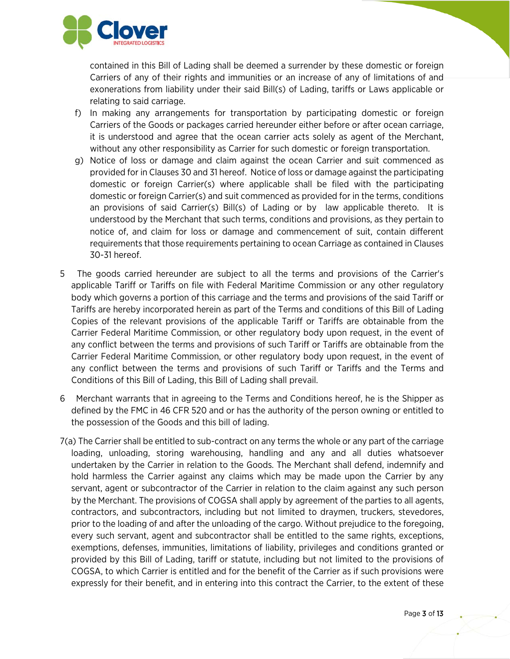

contained in this Bill of Lading shall be deemed a surrender by these domestic or foreign Carriers of any of their rights and immunities or an increase of any of limitations of and exonerations from liability under their said Bill(s) of Lading, tariffs or Laws applicable or relating to said carriage.

- f) In making any arrangements for transportation by participating domestic or foreign Carriers of the Goods or packages carried hereunder either before or after ocean carriage, it is understood and agree that the ocean carrier acts solely as agent of the Merchant, without any other responsibility as Carrier for such domestic or foreign transportation.
- g) Notice of loss or damage and claim against the ocean Carrier and suit commenced as provided for in Clauses 30 and 31 hereof. Notice of loss or damage against the participating domestic or foreign Carrier(s) where applicable shall be filed with the participating domestic or foreign Carrier(s) and suit commenced as provided for in the terms, conditions an provisions of said Carrier(s) Bill(s) of Lading or by law applicable thereto. It is understood by the Merchant that such terms, conditions and provisions, as they pertain to notice of, and claim for loss or damage and commencement of suit, contain different requirements that those requirements pertaining to ocean Carriage as contained in Clauses 30-31 hereof.
- 5 The goods carried hereunder are subject to all the terms and provisions of the Carrier's applicable Tariff or Tariffs on file with Federal Maritime Commission or any other regulatory body which governs a portion of this carriage and the terms and provisions of the said Tariff or Tariffs are hereby incorporated herein as part of the Terms and conditions of this Bill of Lading Copies of the relevant provisions of the applicable Tariff or Tariffs are obtainable from the Carrier Federal Maritime Commission, or other regulatory body upon request, in the event of any conflict between the terms and provisions of such Tariff or Tariffs are obtainable from the Carrier Federal Maritime Commission, or other regulatory body upon request, in the event of any conflict between the terms and provisions of such Tariff or Tariffs and the Terms and Conditions of this Bill of Lading, this Bill of Lading shall prevail.
- 6 Merchant warrants that in agreeing to the Terms and Conditions hereof, he is the Shipper as defined by the FMC in 46 CFR 520 and or has the authority of the person owning or entitled to the possession of the Goods and this bill of lading.
- 7(a) The Carrier shall be entitled to sub-contract on any terms the whole or any part of the carriage loading, unloading, storing warehousing, handling and any and all duties whatsoever undertaken by the Carrier in relation to the Goods. The Merchant shall defend, indemnify and hold harmless the Carrier against any claims which may be made upon the Carrier by any servant, agent or subcontractor of the Carrier in relation to the claim against any such person by the Merchant. The provisions of COGSA shall apply by agreement of the parties to all agents, contractors, and subcontractors, including but not limited to draymen, truckers, stevedores, prior to the loading of and after the unloading of the cargo. Without prejudice to the foregoing, every such servant, agent and subcontractor shall be entitled to the same rights, exceptions, exemptions, defenses, immunities, limitations of liability, privileges and conditions granted or provided by this Bill of Lading, tariff or statute, including but not limited to the provisions of COGSA, to which Carrier is entitled and for the benefit of the Carrier as if such provisions were expressly for their benefit, and in entering into this contract the Carrier, to the extent of these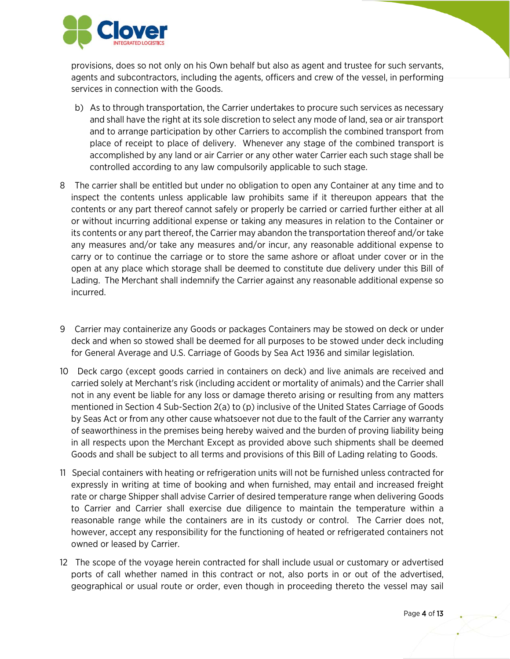

provisions, does so not only on his Own behalf but also as agent and trustee for such servants, agents and subcontractors, including the agents, officers and crew of the vessel, in performing services in connection with the Goods.

- b) As to through transportation, the Carrier undertakes to procure such services as necessary and shall have the right at its sole discretion to select any mode of land, sea or air transport and to arrange participation by other Carriers to accomplish the combined transport from place of receipt to place of delivery. Whenever any stage of the combined transport is accomplished by any land or air Carrier or any other water Carrier each such stage shall be controlled according to any law compulsorily applicable to such stage.
- 8 The carrier shall be entitled but under no obligation to open any Container at any time and to inspect the contents unless applicable law prohibits same if it thereupon appears that the contents or any part thereof cannot safely or properly be carried or carried further either at all or without incurring additional expense or taking any measures in relation to the Container or its contents or any part thereof, the Carrier may abandon the transportation thereof and/or take any measures and/or take any measures and/or incur, any reasonable additional expense to carry or to continue the carriage or to store the same ashore or afloat under cover or in the open at any place which storage shall be deemed to constitute due delivery under this Bill of Lading. The Merchant shall indemnify the Carrier against any reasonable additional expense so incurred.
- 9 Carrier may containerize any Goods or packages Containers may be stowed on deck or under deck and when so stowed shall be deemed for all purposes to be stowed under deck including for General Average and U.S. Carriage of Goods by Sea Act 1936 and similar legislation.
- 10 Deck cargo (except goods carried in containers on deck) and live animals are received and carried solely at Merchant's risk (including accident or mortality of animals) and the Carrier shall not in any event be liable for any loss or damage thereto arising or resulting from any matters mentioned in Section 4 Sub-Section 2(a) to (p) inclusive of the United States Carriage of Goods by Seas Act or from any other cause whatsoever not due to the fault of the Carrier any warranty of seaworthiness in the premises being hereby waived and the burden of proving liability being in all respects upon the Merchant Except as provided above such shipments shall be deemed Goods and shall be subject to all terms and provisions of this Bill of Lading relating to Goods.
- 11 Special containers with heating or refrigeration units will not be furnished unless contracted for expressly in writing at time of booking and when furnished, may entail and increased freight rate or charge Shipper shall advise Carrier of desired temperature range when delivering Goods to Carrier and Carrier shall exercise due diligence to maintain the temperature within a reasonable range while the containers are in its custody or control. The Carrier does not, however, accept any responsibility for the functioning of heated or refrigerated containers not owned or leased by Carrier.
- 12 The scope of the voyage herein contracted for shall include usual or customary or advertised ports of call whether named in this contract or not, also ports in or out of the advertised, geographical or usual route or order, even though in proceeding thereto the vessel may sail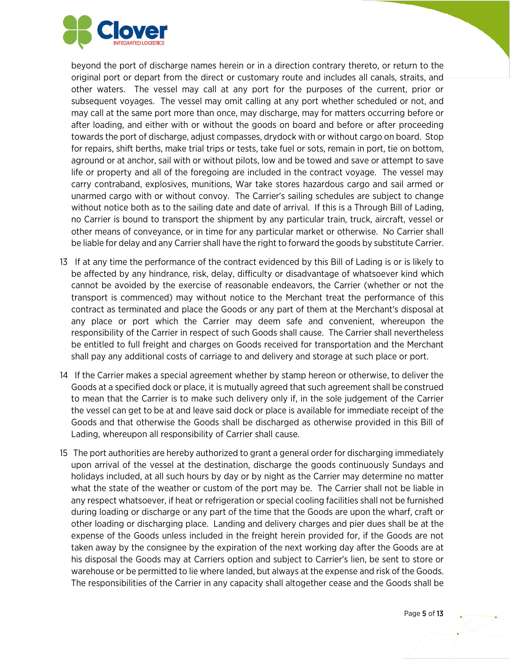

beyond the port of discharge names herein or in a direction contrary thereto, or return to the original port or depart from the direct or customary route and includes all canals, straits, and other waters. The vessel may call at any port for the purposes of the current, prior or subsequent voyages. The vessel may omit calling at any port whether scheduled or not, and may call at the same port more than once, may discharge, may for matters occurring before or after loading, and either with or without the goods on board and before or after proceeding towards the port of discharge, adjust compasses, drydock with or without cargo on board. Stop for repairs, shift berths, make trial trips or tests, take fuel or sots, remain in port, tie on bottom, aground or at anchor, sail with or without pilots, low and be towed and save or attempt to save life or property and all of the foregoing are included in the contract voyage. The vessel may carry contraband, explosives, munitions, War take stores hazardous cargo and sail armed or unarmed cargo with or without convoy. The Carrier's sailing schedules are subject to change without notice both as to the sailing date and date of arrival. If this is a Through Bill of Lading, no Carrier is bound to transport the shipment by any particular train, truck, aircraft, vessel or other means of conveyance, or in time for any particular market or otherwise. No Carrier shall be liable for delay and any Carrier shall have the right to forward the goods by substitute Carrier.

- 13 If at any time the performance of the contract evidenced by this Bill of Lading is or is likely to be affected by any hindrance, risk, delay, difficulty or disadvantage of whatsoever kind which cannot be avoided by the exercise of reasonable endeavors, the Carrier (whether or not the transport is commenced) may without notice to the Merchant treat the performance of this contract as terminated and place the Goods or any part of them at the Merchant's disposal at any place or port which the Carrier may deem safe and convenient, whereupon the responsibility of the Carrier in respect of such Goods shall cause. The Carrier shall nevertheless be entitled to full freight and charges on Goods received for transportation and the Merchant shall pay any additional costs of carriage to and delivery and storage at such place or port.
- 14 If the Carrier makes a special agreement whether by stamp hereon or otherwise, to deliver the Goods at a specified dock or place, it is mutually agreed that such agreement shall be construed to mean that the Carrier is to make such delivery only if, in the sole judgement of the Carrier the vessel can get to be at and leave said dock or place is available for immediate receipt of the Goods and that otherwise the Goods shall be discharged as otherwise provided in this Bill of Lading, whereupon all responsibility of Carrier shall cause.
- 15 The port authorities are hereby authorized to grant a general order for discharging immediately upon arrival of the vessel at the destination, discharge the goods continuously Sundays and holidays included, at all such hours by day or by night as the Carrier may determine no matter what the state of the weather or custom of the port may be. The Carrier shall not be liable in any respect whatsoever, if heat or refrigeration or special cooling facilities shall not be furnished during loading or discharge or any part of the time that the Goods are upon the wharf, craft or other loading or discharging place. Landing and delivery charges and pier dues shall be at the expense of the Goods unless included in the freight herein provided for, if the Goods are not taken away by the consignee by the expiration of the next working day after the Goods are at his disposal the Goods may at Carriers option and subject to Carrier's lien, be sent to store or warehouse or be permitted to lie where landed, but always at the expense and risk of the Goods. The responsibilities of the Carrier in any capacity shall altogether cease and the Goods shall be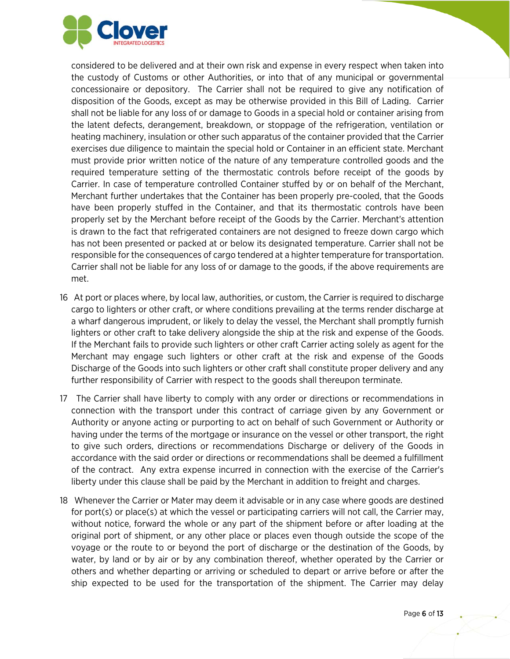

considered to be delivered and at their own risk and expense in every respect when taken into the custody of Customs or other Authorities, or into that of any municipal or governmental concessionaire or depository. The Carrier shall not be required to give any notification of disposition of the Goods, except as may be otherwise provided in this Bill of Lading. Carrier shall not be liable for any loss of or damage to Goods in a special hold or container arising from the latent defects, derangement, breakdown, or stoppage of the refrigeration, ventilation or heating machinery, insulation or other such apparatus of the container provided that the Carrier exercises due diligence to maintain the special hold or Container in an efficient state. Merchant must provide prior written notice of the nature of any temperature controlled goods and the required temperature setting of the thermostatic controls before receipt of the goods by Carrier. In case of temperature controlled Container stuffed by or on behalf of the Merchant, Merchant further undertakes that the Container has been properly pre-cooled, that the Goods have been properly stuffed in the Container, and that its thermostatic controls have been properly set by the Merchant before receipt of the Goods by the Carrier. Merchant's attention is drawn to the fact that refrigerated containers are not designed to freeze down cargo which has not been presented or packed at or below its designated temperature. Carrier shall not be responsible for the consequences of cargo tendered at a highter temperature for transportation. Carrier shall not be liable for any loss of or damage to the goods, if the above requirements are met.

- 16 At port or places where, by local law, authorities, or custom, the Carrier is required to discharge cargo to lighters or other craft, or where conditions prevailing at the terms render discharge at a wharf dangerous imprudent, or likely to delay the vessel, the Merchant shall promptly furnish lighters or other craft to take delivery alongside the ship at the risk and expense of the Goods. If the Merchant fails to provide such lighters or other craft Carrier acting solely as agent for the Merchant may engage such lighters or other craft at the risk and expense of the Goods Discharge of the Goods into such lighters or other craft shall constitute proper delivery and any further responsibility of Carrier with respect to the goods shall thereupon terminate.
- 17 The Carrier shall have liberty to comply with any order or directions or recommendations in connection with the transport under this contract of carriage given by any Government or Authority or anyone acting or purporting to act on behalf of such Government or Authority or having under the terms of the mortgage or insurance on the vessel or other transport, the right to give such orders, directions or recommendations Discharge or delivery of the Goods in accordance with the said order or directions or recommendations shall be deemed a fulfillment of the contract. Any extra expense incurred in connection with the exercise of the Carrier's liberty under this clause shall be paid by the Merchant in addition to freight and charges.
- 18 Whenever the Carrier or Mater may deem it advisable or in any case where goods are destined for port(s) or place(s) at which the vessel or participating carriers will not call, the Carrier may, without notice, forward the whole or any part of the shipment before or after loading at the original port of shipment, or any other place or places even though outside the scope of the voyage or the route to or beyond the port of discharge or the destination of the Goods, by water, by land or by air or by any combination thereof, whether operated by the Carrier or others and whether departing or arriving or scheduled to depart or arrive before or after the ship expected to be used for the transportation of the shipment. The Carrier may delay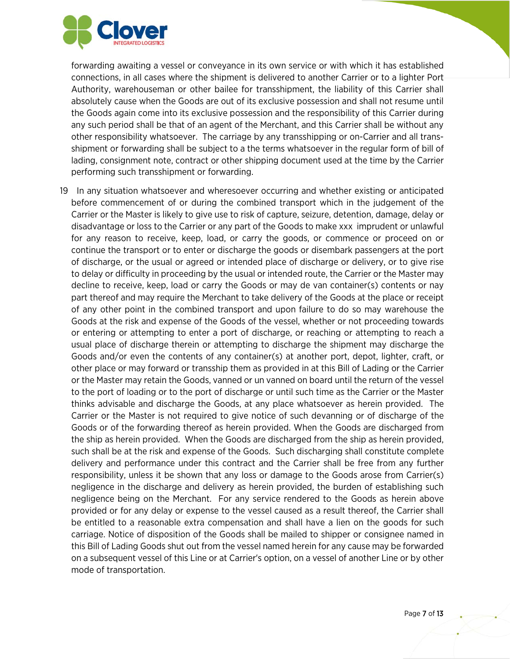

forwarding awaiting a vessel or conveyance in its own service or with which it has established connections, in all cases where the shipment is delivered to another Carrier or to a lighter Port Authority, warehouseman or other bailee for transshipment, the liability of this Carrier shall absolutely cause when the Goods are out of its exclusive possession and shall not resume until the Goods again come into its exclusive possession and the responsibility of this Carrier during any such period shall be that of an agent of the Merchant, and this Carrier shall be without any other responsibility whatsoever. The carriage by any transshipping or on-Carrier and all transshipment or forwarding shall be subject to a the terms whatsoever in the regular form of bill of lading, consignment note, contract or other shipping document used at the time by the Carrier performing such transshipment or forwarding.

19 In any situation whatsoever and wheresoever occurring and whether existing or anticipated before commencement of or during the combined transport which in the judgement of the Carrier or the Master is likely to give use to risk of capture, seizure, detention, damage, delay or disadvantage or loss to the Carrier or any part of the Goods to make xxx imprudent or unlawful for any reason to receive, keep, load, or carry the goods, or commence or proceed on or continue the transport or to enter or discharge the goods or disembark passengers at the port of discharge, or the usual or agreed or intended place of discharge or delivery, or to give rise to delay or difficulty in proceeding by the usual or intended route, the Carrier or the Master may decline to receive, keep, load or carry the Goods or may de van container(s) contents or nay part thereof and may require the Merchant to take delivery of the Goods at the place or receipt of any other point in the combined transport and upon failure to do so may warehouse the Goods at the risk and expense of the Goods of the vessel, whether or not proceeding towards or entering or attempting to enter a port of discharge, or reaching or attempting to reach a usual place of discharge therein or attempting to discharge the shipment may discharge the Goods and/or even the contents of any container(s) at another port, depot, lighter, craft, or other place or may forward or transship them as provided in at this Bill of Lading or the Carrier or the Master may retain the Goods, vanned or un vanned on board until the return of the vessel to the port of loading or to the port of discharge or until such time as the Carrier or the Master thinks advisable and discharge the Goods, at any place whatsoever as herein provided. The Carrier or the Master is not required to give notice of such devanning or of discharge of the Goods or of the forwarding thereof as herein provided. When the Goods are discharged from the ship as herein provided. When the Goods are discharged from the ship as herein provided, such shall be at the risk and expense of the Goods. Such discharging shall constitute complete delivery and performance under this contract and the Carrier shall be free from any further responsibility, unless it be shown that any loss or damage to the Goods arose from Carrier(s) negligence in the discharge and delivery as herein provided, the burden of establishing such negligence being on the Merchant. For any service rendered to the Goods as herein above provided or for any delay or expense to the vessel caused as a result thereof, the Carrier shall be entitled to a reasonable extra compensation and shall have a lien on the goods for such carriage. Notice of disposition of the Goods shall be mailed to shipper or consignee named in this Bill of Lading Goods shut out from the vessel named herein for any cause may be forwarded on a subsequent vessel of this Line or at Carrier's option, on a vessel of another Line or by other mode of transportation.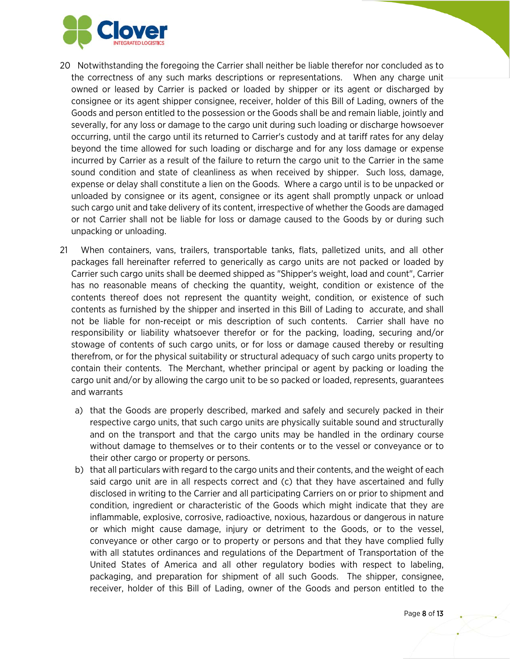

- 20 Notwithstanding the foregoing the Carrier shall neither be liable therefor nor concluded as to the correctness of any such marks descriptions or representations. When any charge unit owned or leased by Carrier is packed or loaded by shipper or its agent or discharged by consignee or its agent shipper consignee, receiver, holder of this Bill of Lading, owners of the Goods and person entitled to the possession or the Goods shall be and remain liable, jointly and severally, for any loss or damage to the cargo unit during such loading or discharge howsoever occurring, until the cargo until its returned to Carrier's custody and at tariff rates for any delay beyond the time allowed for such loading or discharge and for any loss damage or expense incurred by Carrier as a result of the failure to return the cargo unit to the Carrier in the same sound condition and state of cleanliness as when received by shipper. Such loss, damage, expense or delay shall constitute a lien on the Goods. Where a cargo until is to be unpacked or unloaded by consignee or its agent, consignee or its agent shall promptly unpack or unload such cargo unit and take delivery of its content, irrespective of whether the Goods are damaged or not Carrier shall not be liable for loss or damage caused to the Goods by or during such unpacking or unloading.
- 21 When containers, vans, trailers, transportable tanks, flats, palletized units, and all other packages fall hereinafter referred to generically as cargo units are not packed or loaded by Carrier such cargo units shall be deemed shipped as "Shipper's weight, load and count", Carrier has no reasonable means of checking the quantity, weight, condition or existence of the contents thereof does not represent the quantity weight, condition, or existence of such contents as furnished by the shipper and inserted in this Bill of Lading to accurate, and shall not be liable for non-receipt or mis description of such contents. Carrier shall have no responsibility or liability whatsoever therefor or for the packing, loading, securing and/or stowage of contents of such cargo units, or for loss or damage caused thereby or resulting therefrom, or for the physical suitability or structural adequacy of such cargo units property to contain their contents. The Merchant, whether principal or agent by packing or loading the cargo unit and/or by allowing the cargo unit to be so packed or loaded, represents, guarantees and warrants
	- a) that the Goods are properly described, marked and safely and securely packed in their respective cargo units, that such cargo units are physically suitable sound and structurally and on the transport and that the cargo units may be handled in the ordinary course without damage to themselves or to their contents or to the vessel or conveyance or to their other cargo or property or persons.
	- b) that all particulars with regard to the cargo units and their contents, and the weight of each said cargo unit are in all respects correct and (c) that they have ascertained and fully disclosed in writing to the Carrier and all participating Carriers on or prior to shipment and condition, ingredient or characteristic of the Goods which might indicate that they are inflammable, explosive, corrosive, radioactive, noxious, hazardous or dangerous in nature or which might cause damage, injury or detriment to the Goods, or to the vessel, conveyance or other cargo or to property or persons and that they have complied fully with all statutes ordinances and regulations of the Department of Transportation of the United States of America and all other regulatory bodies with respect to labeling, packaging, and preparation for shipment of all such Goods. The shipper, consignee, receiver, holder of this Bill of Lading, owner of the Goods and person entitled to the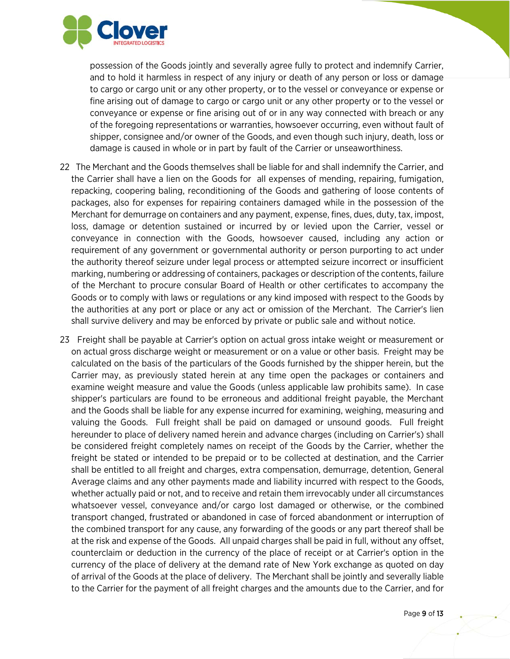

possession of the Goods jointly and severally agree fully to protect and indemnify Carrier, and to hold it harmless in respect of any injury or death of any person or loss or damage to cargo or cargo unit or any other property, or to the vessel or conveyance or expense or fine arising out of damage to cargo or cargo unit or any other property or to the vessel or conveyance or expense or fine arising out of or in any way connected with breach or any of the foregoing representations or warranties, howsoever occurring, even without fault of shipper, consignee and/or owner of the Goods, and even though such injury, death, loss or damage is caused in whole or in part by fault of the Carrier or unseaworthiness.

- 22 The Merchant and the Goods themselves shall be liable for and shall indemnify the Carrier, and the Carrier shall have a lien on the Goods for all expenses of mending, repairing, fumigation, repacking, coopering baling, reconditioning of the Goods and gathering of loose contents of packages, also for expenses for repairing containers damaged while in the possession of the Merchant for demurrage on containers and any payment, expense, fines, dues, duty, tax, impost, loss, damage or detention sustained or incurred by or levied upon the Carrier, vessel or conveyance in connection with the Goods, howsoever caused, including any action or requirement of any government or governmental authority or person purporting to act under the authority thereof seizure under legal process or attempted seizure incorrect or insufficient marking, numbering or addressing of containers, packages or description of the contents, failure of the Merchant to procure consular Board of Health or other certificates to accompany the Goods or to comply with laws or regulations or any kind imposed with respect to the Goods by the authorities at any port or place or any act or omission of the Merchant. The Carrier's lien shall survive delivery and may be enforced by private or public sale and without notice.
- 23 Freight shall be payable at Carrier's option on actual gross intake weight or measurement or on actual gross discharge weight or measurement or on a value or other basis. Freight may be calculated on the basis of the particulars of the Goods furnished by the shipper herein, but the Carrier may, as previously stated herein at any time open the packages or containers and examine weight measure and value the Goods (unless applicable law prohibits same). In case shipper's particulars are found to be erroneous and additional freight payable, the Merchant and the Goods shall be liable for any expense incurred for examining, weighing, measuring and valuing the Goods. Full freight shall be paid on damaged or unsound goods. Full freight hereunder to place of delivery named herein and advance charges (including on Carrier's) shall be considered freight completely names on receipt of the Goods by the Carrier, whether the freight be stated or intended to be prepaid or to be collected at destination, and the Carrier shall be entitled to all freight and charges, extra compensation, demurrage, detention, General Average claims and any other payments made and liability incurred with respect to the Goods, whether actually paid or not, and to receive and retain them irrevocably under all circumstances whatsoever vessel, conveyance and/or cargo lost damaged or otherwise, or the combined transport changed, frustrated or abandoned in case of forced abandonment or interruption of the combined transport for any cause, any forwarding of the goods or any part thereof shall be at the risk and expense of the Goods. All unpaid charges shall be paid in full, without any offset, counterclaim or deduction in the currency of the place of receipt or at Carrier's option in the currency of the place of delivery at the demand rate of New York exchange as quoted on day of arrival of the Goods at the place of delivery. The Merchant shall be jointly and severally liable to the Carrier for the payment of all freight charges and the amounts due to the Carrier, and for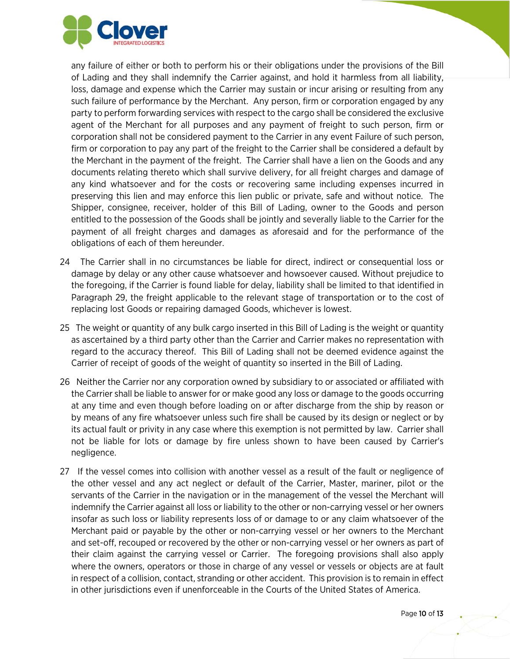

any failure of either or both to perform his or their obligations under the provisions of the Bill of Lading and they shall indemnify the Carrier against, and hold it harmless from all liability, loss, damage and expense which the Carrier may sustain or incur arising or resulting from any such failure of performance by the Merchant. Any person, firm or corporation engaged by any party to perform forwarding services with respect to the cargo shall be considered the exclusive agent of the Merchant for all purposes and any payment of freight to such person, firm or corporation shall not be considered payment to the Carrier in any event Failure of such person, firm or corporation to pay any part of the freight to the Carrier shall be considered a default by the Merchant in the payment of the freight. The Carrier shall have a lien on the Goods and any documents relating thereto which shall survive delivery, for all freight charges and damage of any kind whatsoever and for the costs or recovering same including expenses incurred in preserving this lien and may enforce this lien public or private, safe and without notice. The Shipper, consignee, receiver, holder of this Bill of Lading, owner to the Goods and person entitled to the possession of the Goods shall be jointly and severally liable to the Carrier for the payment of all freight charges and damages as aforesaid and for the performance of the obligations of each of them hereunder.

- 24 The Carrier shall in no circumstances be liable for direct, indirect or consequential loss or damage by delay or any other cause whatsoever and howsoever caused. Without prejudice to the foregoing, if the Carrier is found liable for delay, liability shall be limited to that identified in Paragraph 29, the freight applicable to the relevant stage of transportation or to the cost of replacing lost Goods or repairing damaged Goods, whichever is lowest.
- 25 The weight or quantity of any bulk cargo inserted in this Bill of Lading is the weight or quantity as ascertained by a third party other than the Carrier and Carrier makes no representation with regard to the accuracy thereof. This Bill of Lading shall not be deemed evidence against the Carrier of receipt of goods of the weight of quantity so inserted in the Bill of Lading.
- 26 Neither the Carrier nor any corporation owned by subsidiary to or associated or affiliated with the Carrier shall be liable to answer for or make good any loss or damage to the goods occurring at any time and even though before loading on or after discharge from the ship by reason or by means of any fire whatsoever unless such fire shall be caused by its design or neglect or by its actual fault or privity in any case where this exemption is not permitted by law. Carrier shall not be liable for lots or damage by fire unless shown to have been caused by Carrier's negligence.
- 27 If the vessel comes into collision with another vessel as a result of the fault or negligence of the other vessel and any act neglect or default of the Carrier, Master, mariner, pilot or the servants of the Carrier in the navigation or in the management of the vessel the Merchant will indemnify the Carrier against all loss or liability to the other or non-carrying vessel or her owners insofar as such loss or liability represents loss of or damage to or any claim whatsoever of the Merchant paid or payable by the other or non-carrying vessel or her owners to the Merchant and set-off, recouped or recovered by the other or non-carrying vessel or her owners as part of their claim against the carrying vessel or Carrier. The foregoing provisions shall also apply where the owners, operators or those in charge of any vessel or vessels or objects are at fault in respect of a collision, contact, stranding or other accident. This provision is to remain in effect in other jurisdictions even if unenforceable in the Courts of the United States of America.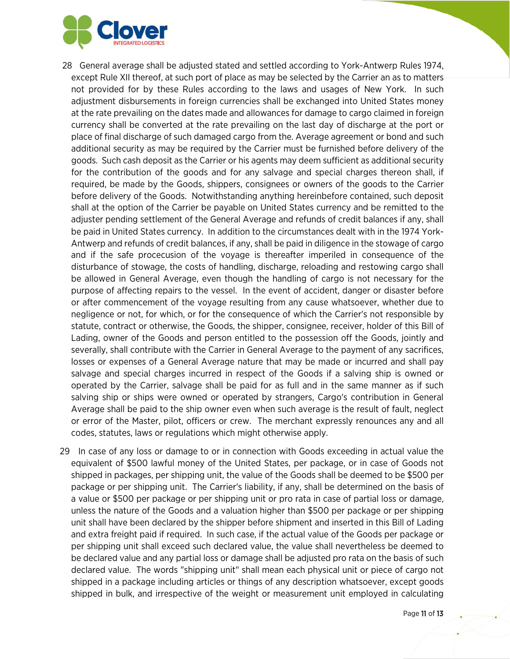

- 28 General average shall be adjusted stated and settled according to York-Antwerp Rules 1974, except Rule XII thereof, at such port of place as may be selected by the Carrier an as to matters not provided for by these Rules according to the laws and usages of New York. In such adjustment disbursements in foreign currencies shall be exchanged into United States money at the rate prevailing on the dates made and allowances for damage to cargo claimed in foreign currency shall be converted at the rate prevailing on the last day of discharge at the port or place of final discharge of such damaged cargo from the. Average agreement or bond and such additional security as may be required by the Carrier must be furnished before delivery of the goods. Such cash deposit as the Carrier or his agents may deem sufficient as additional security for the contribution of the goods and for any salvage and special charges thereon shall, if required, be made by the Goods, shippers, consignees or owners of the goods to the Carrier before delivery of the Goods. Notwithstanding anything hereinbefore contained, such deposit shall at the option of the Carrier be payable on United States currency and be remitted to the adjuster pending settlement of the General Average and refunds of credit balances if any, shall be paid in United States currency. In addition to the circumstances dealt with in the 1974 York-Antwerp and refunds of credit balances, if any, shall be paid in diligence in the stowage of cargo and if the safe procecusion of the voyage is thereafter imperiled in consequence of the disturbance of stowage, the costs of handling, discharge, reloading and restowing cargo shall be allowed in General Average, even though the handling of cargo is not necessary for the purpose of affecting repairs to the vessel. In the event of accident, danger or disaster before or after commencement of the voyage resulting from any cause whatsoever, whether due to negligence or not, for which, or for the consequence of which the Carrier's not responsible by statute, contract or otherwise, the Goods, the shipper, consignee, receiver, holder of this Bill of Lading, owner of the Goods and person entitled to the possession off the Goods, jointly and severally, shall contribute with the Carrier in General Average to the payment of any sacrifices, losses or expenses of a General Average nature that may be made or incurred and shall pay salvage and special charges incurred in respect of the Goods if a salving ship is owned or operated by the Carrier, salvage shall be paid for as full and in the same manner as if such salving ship or ships were owned or operated by strangers, Cargo's contribution in General Average shall be paid to the ship owner even when such average is the result of fault, neglect or error of the Master, pilot, officers or crew. The merchant expressly renounces any and all codes, statutes, laws or regulations which might otherwise apply.
- 29 In case of any loss or damage to or in connection with Goods exceeding in actual value the equivalent of \$500 lawful money of the United States, per package, or in case of Goods not shipped in packages, per shipping unit, the value of the Goods shall be deemed to be \$500 per package or per shipping unit. The Carrier's liability, if any, shall be determined on the basis of a value or \$500 per package or per shipping unit or pro rata in case of partial loss or damage, unless the nature of the Goods and a valuation higher than \$500 per package or per shipping unit shall have been declared by the shipper before shipment and inserted in this Bill of Lading and extra freight paid if required. In such case, if the actual value of the Goods per package or per shipping unit shall exceed such declared value, the value shall nevertheless be deemed to be declared value and any partial loss or damage shall be adjusted pro rata on the basis of such declared value. The words "shipping unit" shall mean each physical unit or piece of cargo not shipped in a package including articles or things of any description whatsoever, except goods shipped in bulk, and irrespective of the weight or measurement unit employed in calculating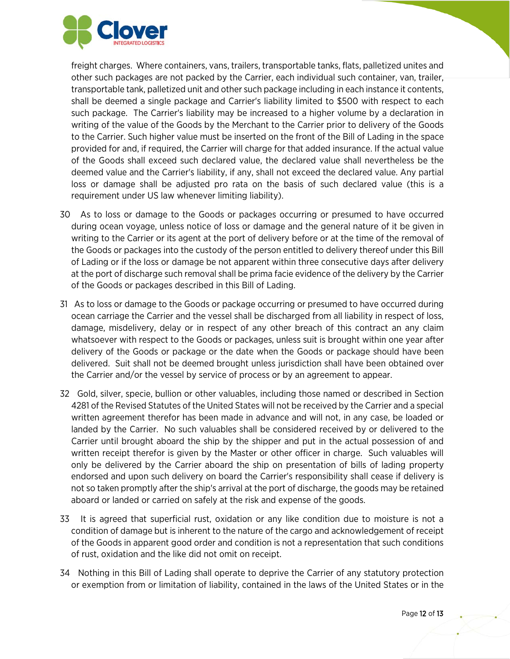

freight charges. Where containers, vans, trailers, transportable tanks, flats, palletized unites and other such packages are not packed by the Carrier, each individual such container, van, trailer, transportable tank, palletized unit and other such package including in each instance it contents, shall be deemed a single package and Carrier's liability limited to \$500 with respect to each such package. The Carrier's liability may be increased to a higher volume by a declaration in writing of the value of the Goods by the Merchant to the Carrier prior to delivery of the Goods to the Carrier. Such higher value must be inserted on the front of the Bill of Lading in the space provided for and, if required, the Carrier will charge for that added insurance. If the actual value of the Goods shall exceed such declared value, the declared value shall nevertheless be the deemed value and the Carrier's liability, if any, shall not exceed the declared value. Any partial loss or damage shall be adjusted pro rata on the basis of such declared value (this is a requirement under US law whenever limiting liability).

- 30 As to loss or damage to the Goods or packages occurring or presumed to have occurred during ocean voyage, unless notice of loss or damage and the general nature of it be given in writing to the Carrier or its agent at the port of delivery before or at the time of the removal of the Goods or packages into the custody of the person entitled to delivery thereof under this Bill of Lading or if the loss or damage be not apparent within three consecutive days after delivery at the port of discharge such removal shall be prima facie evidence of the delivery by the Carrier of the Goods or packages described in this Bill of Lading.
- 31 As to loss or damage to the Goods or package occurring or presumed to have occurred during ocean carriage the Carrier and the vessel shall be discharged from all liability in respect of loss, damage, misdelivery, delay or in respect of any other breach of this contract an any claim whatsoever with respect to the Goods or packages, unless suit is brought within one year after delivery of the Goods or package or the date when the Goods or package should have been delivered. Suit shall not be deemed brought unless jurisdiction shall have been obtained over the Carrier and/or the vessel by service of process or by an agreement to appear.
- 32 Gold, silver, specie, bullion or other valuables, including those named or described in Section 4281 of the Revised Statutes of the United States will not be received by the Carrier and a special written agreement therefor has been made in advance and will not, in any case, be loaded or landed by the Carrier. No such valuables shall be considered received by or delivered to the Carrier until brought aboard the ship by the shipper and put in the actual possession of and written receipt therefor is given by the Master or other officer in charge. Such valuables will only be delivered by the Carrier aboard the ship on presentation of bills of lading property endorsed and upon such delivery on board the Carrier's responsibility shall cease if delivery is not so taken promptly after the ship's arrival at the port of discharge, the goods may be retained aboard or landed or carried on safely at the risk and expense of the goods.
- 33 It is agreed that superficial rust, oxidation or any like condition due to moisture is not a condition of damage but is inherent to the nature of the cargo and acknowledgement of receipt of the Goods in apparent good order and condition is not a representation that such conditions of rust, oxidation and the like did not omit on receipt.
- 34 Nothing in this Bill of Lading shall operate to deprive the Carrier of any statutory protection or exemption from or limitation of liability, contained in the laws of the United States or in the